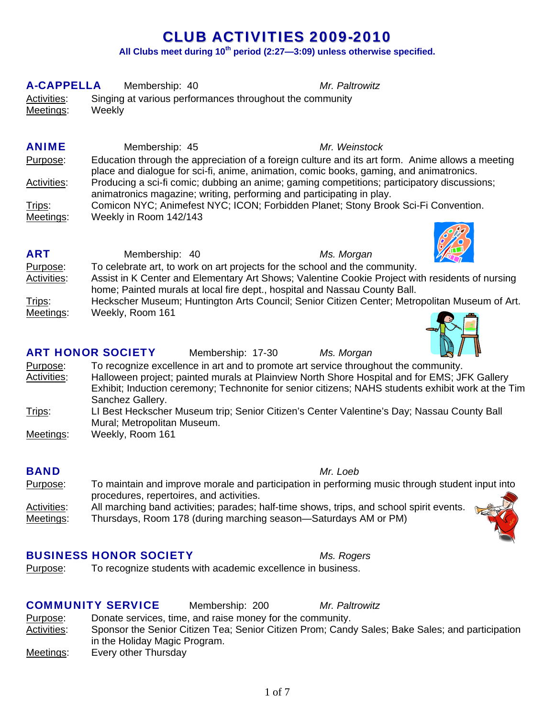# CLUB ACTIVITIES 2009-2010

**All Clubs meet during 10th period (2:27—3:09) unless otherwise specified.**

| <b>A-CAPPELLA</b>  | Membership: 40                                           | Mr. Paltrowitz                                                                                                                                                                              |
|--------------------|----------------------------------------------------------|---------------------------------------------------------------------------------------------------------------------------------------------------------------------------------------------|
| Activities:        | Singing at various performances throughout the community |                                                                                                                                                                                             |
| Meetings:          | Weekly                                                   |                                                                                                                                                                                             |
|                    |                                                          |                                                                                                                                                                                             |
| <b>ANIME</b>       |                                                          |                                                                                                                                                                                             |
|                    | Membership: 45                                           | Mr. Weinstock                                                                                                                                                                               |
| Purpose:           |                                                          | Education through the appreciation of a foreign culture and its art form. Anime allows a meeting<br>place and dialogue for sci-fi, anime, animation, comic books, gaming, and animatronics. |
| <b>Activities:</b> |                                                          | Producing a sci-fi comic; dubbing an anime; gaming competitions; participatory discussions;<br>animatronics magazine; writing, performing and participating in play.                        |
| Trips:             |                                                          | Comicon NYC; Animefest NYC; ICON; Forbidden Planet; Stony Brook Sci-Fi Convention.                                                                                                          |
| Meetings:          | Weekly in Room 142/143                                   |                                                                                                                                                                                             |
|                    |                                                          |                                                                                                                                                                                             |
| <b>ART</b>         | Membership: 40                                           | Ms. Morgan                                                                                                                                                                                  |
| Purpose:           |                                                          | To celebrate art, to work on art projects for the school and the community.                                                                                                                 |
| <b>Activities:</b> |                                                          | Assist in K Center and Elementary Art Shows; Valentine Cookie Project with residents of nursing                                                                                             |
|                    |                                                          | home; Painted murals at local fire dept., hospital and Nassau County Ball.                                                                                                                  |
| Trips:             |                                                          | Heckscher Museum; Huntington Arts Council; Senior Citizen Center; Metropolitan Museum of Art.                                                                                               |
| Meetings:          | Weekly, Room 161                                         |                                                                                                                                                                                             |
|                    | <b>ART HONOR SOCIETY</b><br>Membership: 17-30            | Ms. Morgan                                                                                                                                                                                  |
| Purpose:           |                                                          | To recognize excellence in art and to promote art service throughout the community.                                                                                                         |
| <b>Activities:</b> |                                                          | Halloween project; painted murals at Plainview North Shore Hospital and for EMS; JFK Gallery                                                                                                |
|                    |                                                          | Exhibit; Induction ceremony; Technonite for senior citizens; NAHS students exhibit work at the Tim                                                                                          |
|                    | Sanchez Gallery.                                         |                                                                                                                                                                                             |
| Trips:             |                                                          | LI Best Heckscher Museum trip; Senior Citizen's Center Valentine's Day; Nassau County Ball                                                                                                  |
|                    | Mural; Metropolitan Museum.                              |                                                                                                                                                                                             |
| Meetings:          | Weekly, Room 161                                         |                                                                                                                                                                                             |
|                    |                                                          |                                                                                                                                                                                             |
| <b>BAND</b>        |                                                          | Mr. Loeb                                                                                                                                                                                    |
| Purpose:           | procedures, repertoires, and activities.                 | To maintain and improve morale and participation in performing music through student input into                                                                                             |
| Activities:        |                                                          | All marching band activities; parades; half-time shows, trips, and school spirit events.                                                                                                    |

Meetings: Thursdays, Room 178 (during marching season—Saturdays AM or PM)

#### BUSINESS HONOR SOCIETY *Ms. Rogers*

Purpose: To recognize students with academic excellence in business.

#### COMMUNITY SERVICE Membership: 200 *Mr. Paltrowitz*

Purpose: Donate services, time, and raise money for the community. Activities: Sponsor the Senior Citizen Tea; Senior Citizen Prom; Candy Sales; Bake Sales; and participation in the Holiday Magic Program. Meetings: Every other Thursday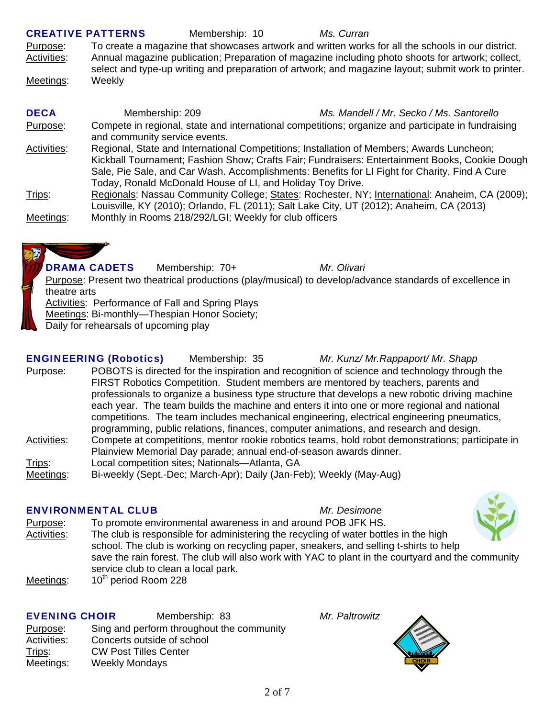| <b>CREATIVE PATTERNS</b> |                               | Membership: 10                                             | Ms. Curran                                                                                                                                                                                                                                                                                   |
|--------------------------|-------------------------------|------------------------------------------------------------|----------------------------------------------------------------------------------------------------------------------------------------------------------------------------------------------------------------------------------------------------------------------------------------------|
| Purpose:                 |                               |                                                            | To create a magazine that showcases artwork and written works for all the schools in our district.                                                                                                                                                                                           |
| Activities:              |                               |                                                            | Annual magazine publication; Preparation of magazine including photo shoots for artwork; collect,<br>select and type-up writing and preparation of artwork; and magazine layout; submit work to printer.                                                                                     |
| Meetings:                | Weekly                        |                                                            |                                                                                                                                                                                                                                                                                              |
| <b>DECA</b>              | Membership: 209               |                                                            | Ms. Mandell / Mr. Secko / Ms. Santorello                                                                                                                                                                                                                                                     |
| Purpose:                 | and community service events. |                                                            | Compete in regional, state and international competitions; organize and participate in fundraising                                                                                                                                                                                           |
| Activities:              |                               | Today, Ronald McDonald House of LI, and Holiday Toy Drive. | Regional, State and International Competitions; Installation of Members; Awards Luncheon;<br>Kickball Tournament; Fashion Show; Crafts Fair; Fundraisers: Entertainment Books, Cookie Dough<br>Sale, Pie Sale, and Car Wash. Accomplishments: Benefits for LI Fight for Charity, Find A Cure |
| Trips:                   |                               |                                                            | Regionals: Nassau Community College; States: Rochester, NY; International: Anaheim, CA (2009);<br>Louisville, KY (2010); Orlando, FL (2011); Salt Lake City, UT (2012); Anaheim, CA (2013)                                                                                                   |
| Meetings:                |                               | Monthly in Rooms 218/292/LGI; Weekly for club officers     |                                                                                                                                                                                                                                                                                              |

DRAMA CADETS Membership: 70+ *Mr. Olivari* Purpose: Present two theatrical productions (play/musical) to develop/advance standards of excellence in theatre arts Activities: Performance of Fall and Spring Plays Meetings: Bi-monthly-Thespian Honor Society; Daily for rehearsals of upcoming play

ENGINEERING (Robotics) Membership: 35 *Mr. Kunz/ Mr.Rappaport/ Mr. Shapp* Purpose: POBOTS is directed for the inspiration and recognition of science and technology through the FIRST Robotics Competition. Student members are mentored by teachers, parents and professionals to organize a business type structure that develops a new robotic driving machine each year. The team builds the machine and enters it into one or more regional and national competitions. The team includes mechanical engineering, electrical engineering pneumatics, programming, public relations, finances, computer animations, and research and design. Activities: Compete at competitions, mentor rookie robotics teams, hold robot demonstrations; participate in Plainview Memorial Day parade; annual end-of-season awards dinner. Trips: Local competition sites; Nationals—Atlanta, GA Meetings: Bi-weekly (Sept.-Dec; March-Apr); Daily (Jan-Feb); Weekly (May-Aug)

### ENVIRONMENTAL CLUB *Mr. Desimone*

Purpose: To promote environmental awareness in and around POB JFK HS.

- Activities: The club is responsible for administering the recycling of water bottles in the high school. The club is working on recycling paper, sneakers, and selling t-shirts to help save the rain forest. The club will also work with YAC to plant in the courtyard and the community service club to clean a local park. Meetings: 10<sup>th</sup> period Room 228
- 

# EVENING CHOIR Membership: 83 *Mr. Paltrowitz* Purpose: Sing and perform throughout the community

Activities: Concerts outside of school Trips: CW Post Tilles Center Meetings: Weekly Mondays



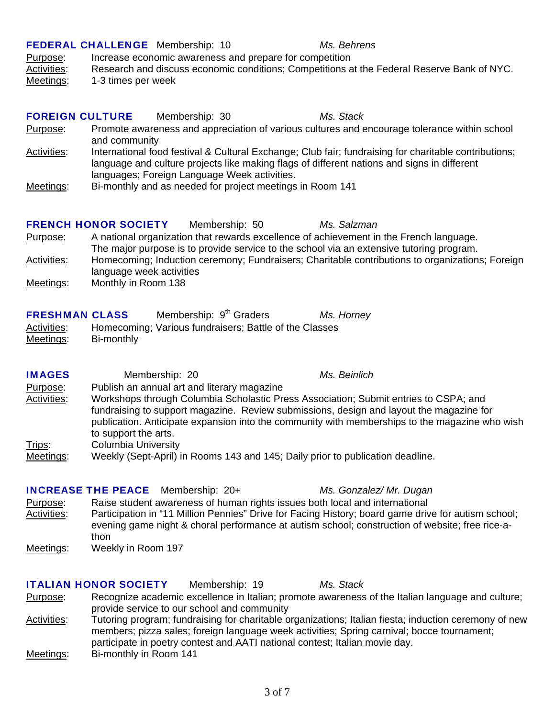Meetings: Bi-monthly in Room 141

# FEDERAL CHALLENGE Membership: 10 *Ms. Behrens*

### Purpose: Increase economic awareness and prepare for competition

Activities: Research and discuss economic conditions; Competitions at the Federal Reserve Bank of NYC. Meetings: 1-3 times per week

| <b>FOREIGN CULTURE</b><br>Purpose: | and community               | Membership: 30                                            | Ms. Stack<br>Promote awareness and appreciation of various cultures and encourage tolerance within school                                                                                            |  |
|------------------------------------|-----------------------------|-----------------------------------------------------------|------------------------------------------------------------------------------------------------------------------------------------------------------------------------------------------------------|--|
| Activities:                        |                             | languages; Foreign Language Week activities.              | International food festival & Cultural Exchange; Club fair; fundraising for charitable contributions;<br>language and culture projects like making flags of different nations and signs in different |  |
| Meetings:                          |                             | Bi-monthly and as needed for project meetings in Room 141 |                                                                                                                                                                                                      |  |
|                                    | <b>FRENCH HONOR SOCIETY</b> | Membership: 50                                            | Ms. Salzman                                                                                                                                                                                          |  |

- Purpose: A national organization that rewards excellence of achievement in the French language. The major purpose is to provide service to the school via an extensive tutoring program. Activities: Homecoming; Induction ceremony; Fundraisers; Charitable contributions to organizations; Foreign language week activities
- Meetings: Monthly in Room 138

| <b>FRESHMAN CLASS</b> |  |  |  | Membership: 9 <sup>th</sup> Graders |  | Ms. Horney |
|-----------------------|--|--|--|-------------------------------------|--|------------|
|                       |  |  |  | __                                  |  |            |

| Activities:      | Homecoming; Various fundraisers; Battle of the Classes |
|------------------|--------------------------------------------------------|
| <u>Meetings:</u> | Bi-monthly                                             |

| <b>IMAGES</b>      | Membership: 20                              | Ms. Beinlich                                                                                                                                                                              |
|--------------------|---------------------------------------------|-------------------------------------------------------------------------------------------------------------------------------------------------------------------------------------------|
| Purpose:           | Publish an annual art and literary magazine |                                                                                                                                                                                           |
| <b>Activities:</b> |                                             | Workshops through Columbia Scholastic Press Association; Submit entries to CSPA; and                                                                                                      |
|                    | to support the arts.                        | fundraising to support magazine. Review submissions, design and layout the magazine for<br>publication. Anticipate expansion into the community with memberships to the magazine who wish |
| <u>Trips:</u>      | <b>Columbia University</b>                  |                                                                                                                                                                                           |
| Meetings:          |                                             | Weekly (Sept-April) in Rooms 143 and 145; Daily prior to publication deadline.                                                                                                            |

## INCREASE THE PEACE Membership: 20+ *Ms. Gonzalez/ Mr. Dugan*

Purpose: Raise student awareness of human rights issues both local and international Activities: Participation in "11 Million Pennies" Drive for Facing History; board game drive for autism school; evening game night & choral performance at autism school; construction of website; free rice-athon Meetings: Weekly in Room 197

#### ITALIAN HONOR SOCIETY Membership: 19 *Ms. Stack*

Purpose: Recognize academic excellence in Italian; promote awareness of the Italian language and culture; provide service to our school and community Activities: Tutoring program; fundraising for charitable organizations; Italian fiesta; induction ceremony of new

- members; pizza sales; foreign language week activities; Spring carnival; bocce tournament;
- participate in poetry contest and AATI national contest; Italian movie day.
-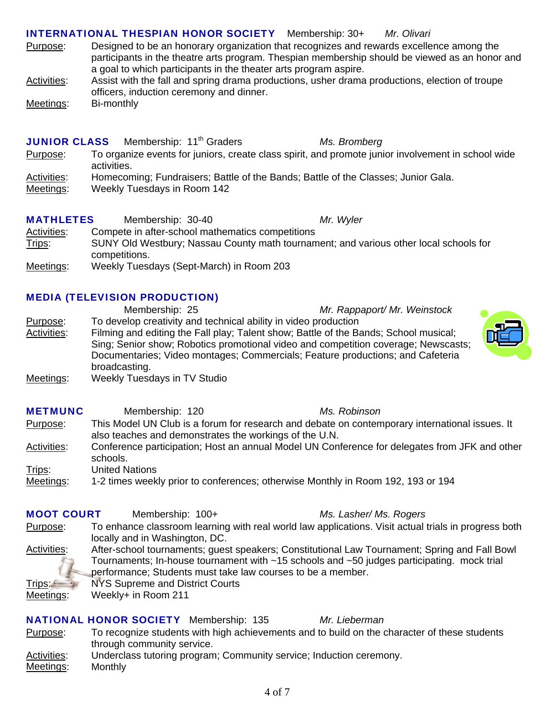### INTERNATIONAL THESPIAN HONOR SOCIETY Membership: 30+ *Mr. Olivari*

- Purpose: Designed to be an honorary organization that recognizes and rewards excellence among the participants in the theatre arts program. Thespian membership should be viewed as an honor and a goal to which participants in the theater arts program aspire.
- Activities: Assist with the fall and spring drama productions, usher drama productions, election of troupe officers, induction ceremony and dinner.
- Meetings: Bi-monthly

**JUNIOR CLASS** Membership: 11<sup>th</sup> Graders *Ms. Bromberg* 

- Purpose: To organize events for juniors, create class spirit, and promote junior involvement in school wide activities.
- Activities: Homecoming; Fundraisers; Battle of the Bands; Battle of the Classes; Junior Gala.
- Meetings: Weekly Tuesdays in Room 142

| <b>MATHLETES</b>   | Membership: 30-40 |                                                  | Mr. Wyler                                                                             |
|--------------------|-------------------|--------------------------------------------------|---------------------------------------------------------------------------------------|
| <b>Activities:</b> |                   | Compete in after-school mathematics competitions |                                                                                       |
| Trips:             |                   |                                                  | SUNY Old Westbury; Nassau County math tournament; and various other local schools for |
|                    | competitions.     |                                                  |                                                                                       |
| Meetings:          |                   | Weekly Tuesdays (Sept-March) in Room 203         |                                                                                       |

#### MEDIA (TELEVISION PRODUCTION)

 Membership: 25 *Mr. Rappaport/ Mr. Weinstock* Purpose: To develop creativity and technical ability in video production Activities: Filming and editing the Fall play; Talent show; Battle of the Bands; School musical; Sing; Senior show; Robotics promotional video and competition coverage; Newscasts; Documentaries; Video montages; Commercials; Feature productions; and Cafeteria broadcasting.

Meetings: Weekly Tuesdays in TV Studio

| <b>METMUNC</b> | Membership: 120       |                                                        | Ms. Robinson                                                                                   |
|----------------|-----------------------|--------------------------------------------------------|------------------------------------------------------------------------------------------------|
| Purpose:       |                       | also teaches and demonstrates the workings of the U.N. | This Model UN Club is a forum for research and debate on contemporary international issues. It |
| Activities:    | schools.              |                                                        | Conference participation; Host an annual Model UN Conference for delegates from JFK and other  |
| Trips:         | <b>United Nations</b> |                                                        |                                                                                                |
| Meetings:      |                       |                                                        | 1-2 times weekly prior to conferences; otherwise Monthly in Room 192, 193 or 194               |

| <b>MOOT COURT</b>                | Membership: 100+                                                                                                                                                                                                                                                       |  |  | Ms. Lasher/ Ms. Rogers                                                                               |  |  |
|----------------------------------|------------------------------------------------------------------------------------------------------------------------------------------------------------------------------------------------------------------------------------------------------------------------|--|--|------------------------------------------------------------------------------------------------------|--|--|
| Purpose:                         | locally and in Washington, DC.                                                                                                                                                                                                                                         |  |  | To enhance classroom learning with real world law applications. Visit actual trials in progress both |  |  |
| Activities:                      | After-school tournaments; guest speakers; Constitutional Law Tournament; Spring and Fall Bowl<br>Tournaments; In-house tournament with $\sim$ 15 schools and $\sim$ 50 judges participating. mock trial<br>performance; Students must take law courses to be a member. |  |  |                                                                                                      |  |  |
| Trips: <del>⊆</del><br>Meetings: | NYS Supreme and District Courts                                                                                                                                                                                                                                        |  |  |                                                                                                      |  |  |
|                                  | Weekly+ in Room 211                                                                                                                                                                                                                                                    |  |  |                                                                                                      |  |  |
|                                  | <b>NATIONAL HONOR SOCIETY</b> Membership: 135                                                                                                                                                                                                                          |  |  | Mr. Lieberman                                                                                        |  |  |
| Purpose:                         | through community service.                                                                                                                                                                                                                                             |  |  | To recognize students with high achievements and to build on the character of these students         |  |  |

Activities: Underclass tutoring program; Community service; Induction ceremony. Meetings: Monthly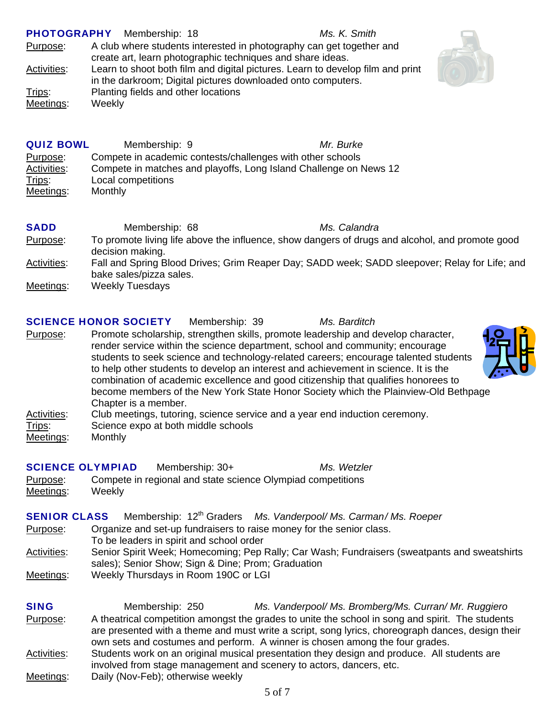|                     | PHOTOGRAPHY Membership: 18                                   | Ms. K. Smith                                                                   |
|---------------------|--------------------------------------------------------------|--------------------------------------------------------------------------------|
| Purpose:            | create art, learn photographic techniques and share ideas.   | A club where students interested in photography can get together and           |
| Ac <u>tivities:</u> | in the darkroom; Digital pictures downloaded onto computers. | Learn to shoot both film and digital pictures. Learn to develop film and print |
| Trips:              | Planting fields and other locations                          |                                                                                |
| Meetings:           | Weekly                                                       |                                                                                |
|                     |                                                              |                                                                                |
|                     |                                                              |                                                                                |



| <b>QUIZ BOWL</b>   | Membership: 9                                                     | Mr. Burke |
|--------------------|-------------------------------------------------------------------|-----------|
| Purpose:           | Compete in academic contests/challenges with other schools        |           |
| <b>Activities:</b> | Compete in matches and playoffs, Long Island Challenge on News 12 |           |
| Trips:             | Local competitions                                                |           |
| Meetings:          | Monthly                                                           |           |

| <b>SADD</b> | Membership: 68          | Ms. Calandra                                                                                    |  |
|-------------|-------------------------|-------------------------------------------------------------------------------------------------|--|
| Purpose:    | decision making.        | To promote living life above the influence, show dangers of drugs and alcohol, and promote good |  |
| Activities: | bake sales/pizza sales. | Fall and Spring Blood Drives; Grim Reaper Day; SADD week; SADD sleepover; Relay for Life; and   |  |
| Meetings:   | <b>Weekly Tuesdays</b>  |                                                                                                 |  |

#### SCIENCE HONOR SOCIETY Membership: 39 *Ms. Barditch*

Purpose: Promote scholarship, strengthen skills, promote leadership and develop character, render service within the science department, school and community; encourage students to seek science and technology-related careers; encourage talented students to help other students to develop an interest and achievement in science. It is the combination of academic excellence and good citizenship that qualifies honorees to become members of the New York State Honor Society which the Plainview-Old Bethpage Chapter is a member.

Activities: Club meetings, tutoring, science service and a year end induction ceremony.<br>Trips: Science expo at both middle schools Science expo at both middle schools Meetings: Monthly

| <b>SCIENCE OLYMPIAD</b> |        | Membership: 30+                                             | Ms. Wetzler |
|-------------------------|--------|-------------------------------------------------------------|-------------|
| Purpose:                |        | Compete in regional and state science Olympiad competitions |             |
| Meetings:               | Weekly |                                                             |             |

| <b>SENIOR CLASS</b> | Membership: 12 <sup>th</sup> Graders Ms. Vanderpool/Ms. Carman/Ms. Roeper                    |
|---------------------|----------------------------------------------------------------------------------------------|
| Purpose:            | Organize and set-up fundraisers to raise money for the senior class.                         |
|                     | To be leaders in spirit and school order                                                     |
| <b>Activities:</b>  | Senior Spirit Week; Homecoming; Pep Rally; Car Wash; Fundraisers (sweatpants and sweatshirts |
|                     | sales); Senior Show; Sign & Dine; Prom; Graduation                                           |
| Meetings:           | Weekly Thursdays in Room 190C or LGI                                                         |
|                     |                                                                                              |
|                     |                                                                                              |

| <b>SING</b> | Membership: 250                                                     | Ms. Vanderpool/ Ms. Bromberg/Ms. Curran/ Mr. Ruggiero                                                                                                                                                                                                                                 |
|-------------|---------------------------------------------------------------------|---------------------------------------------------------------------------------------------------------------------------------------------------------------------------------------------------------------------------------------------------------------------------------------|
| Purpose:    |                                                                     | A theatrical competition amongst the grades to unite the school in song and spirit. The students<br>are presented with a theme and must write a script, song lyrics, choreograph dances, design their<br>own sets and costumes and perform. A winner is chosen among the four grades. |
| Activities: | involved from stage management and scenery to actors, dancers, etc. | Students work on an original musical presentation they design and produce. All students are                                                                                                                                                                                           |
| Meetings:   | Daily (Nov-Feb); otherwise weekly                                   |                                                                                                                                                                                                                                                                                       |

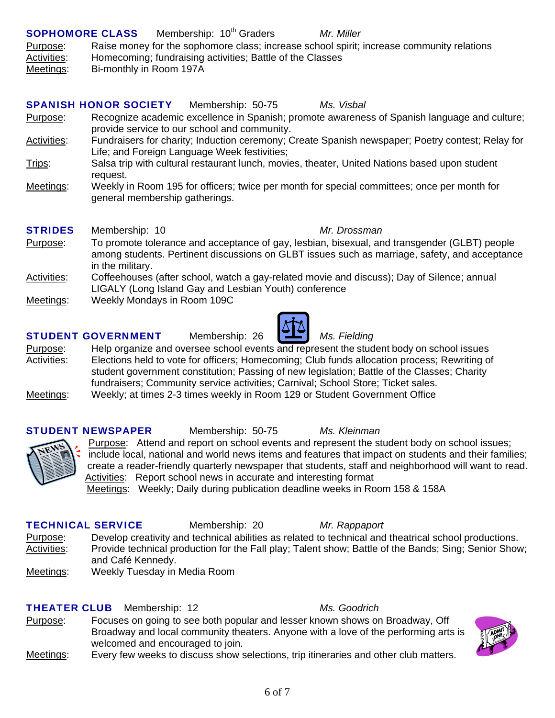## **SOPHOMORE CLASS** Membership: 10<sup>th</sup> Graders *Mr. Miller*

Purpose: Raise money for the sophomore class; increase school spirit; increase community relations Activities: Homecoming; fundraising activities; Battle of the Classes

Meetings: Bi-monthly in Room 197A

## SPANISH HONOR SOCIETY Membership: 50-75 *Ms. Visbal* Purpose: Recognize academic excellence in Spanish; promote awareness of Spanish language and culture; provide service to our school and community. Activities: Fundraisers for charity; Induction ceremony; Create Spanish newspaper; Poetry contest; Relay for Life; and Foreign Language Week festivities; Trips: Salsa trip with cultural restaurant lunch, movies, theater, United Nations based upon student request. Meetings: Weekly in Room 195 for officers; twice per month for special committees; once per month for general membership gatherings. STRIDES Membership: 10 *Mr. Drossman* Purpose: To promote tolerance and acceptance of gay, lesbian, bisexual, and transgender (GLBT) people among students. Pertinent discussions on GLBT issues such as marriage, safety, and acceptance

- in the military. Activities: Coffeehouses (after school, watch a gay-related movie and discuss); Day of Silence; annual LIGALY (Long Island Gay and Lesbian Youth) conference
- Meetings: Weekly Mondays in Room 109C

# STUDENT GOVERNMENT Membership: 26 *Ms. Fielding*

Purpose: Help organize and oversee school events and represent the student body on school issues Activities: Elections held to vote for officers; Homecoming; Club funds allocation process; Rewriting of student government constitution; Passing of new legislation; Battle of the Classes; Charity fundraisers; Community service activities; Carnival; School Store; Ticket sales. Meetings: Weekly; at times 2-3 times weekly in Room 129 or Student Government Office

## STUDENT NEWSPAPER Membership: 50-75 *Ms. Kleinman*

Purpose: Attend and report on school events and represent the student body on school issues; include local, national and world news items and features that impact on students and their families; create a reader-friendly quarterly newspaper that students, staff and neighborhood will want to read. Activities: Report school news in accurate and interesting format

Meetings: Weekly; Daily during publication deadline weeks in Room 158 & 158A

## TECHNICAL SERVICE Membership: 20 *Mr. Rappaport*

Ms. Goodrich

- Purpose: Develop creativity and technical abilities as related to technical and theatrical school productions. Activities: Provide technical production for the Fall play; Talent show; Battle of the Bands; Sing; Senior Show; and Café Kennedy.
- Meetings: Weekly Tuesday in Media Room

|  | <b>THEATER CLUB</b> Membership: 12         |  |
|--|--------------------------------------------|--|
|  | . En antonio de la contra de la caractería |  |

- Purpose: Focuses on going to see both popular and lesser known shows on Broadway, Off Broadway and local community theaters. Anyone with a love of the performing arts is welcomed and encouraged to join.
- Meetings: Every few weeks to discuss show selections, trip itineraries and other club matters.